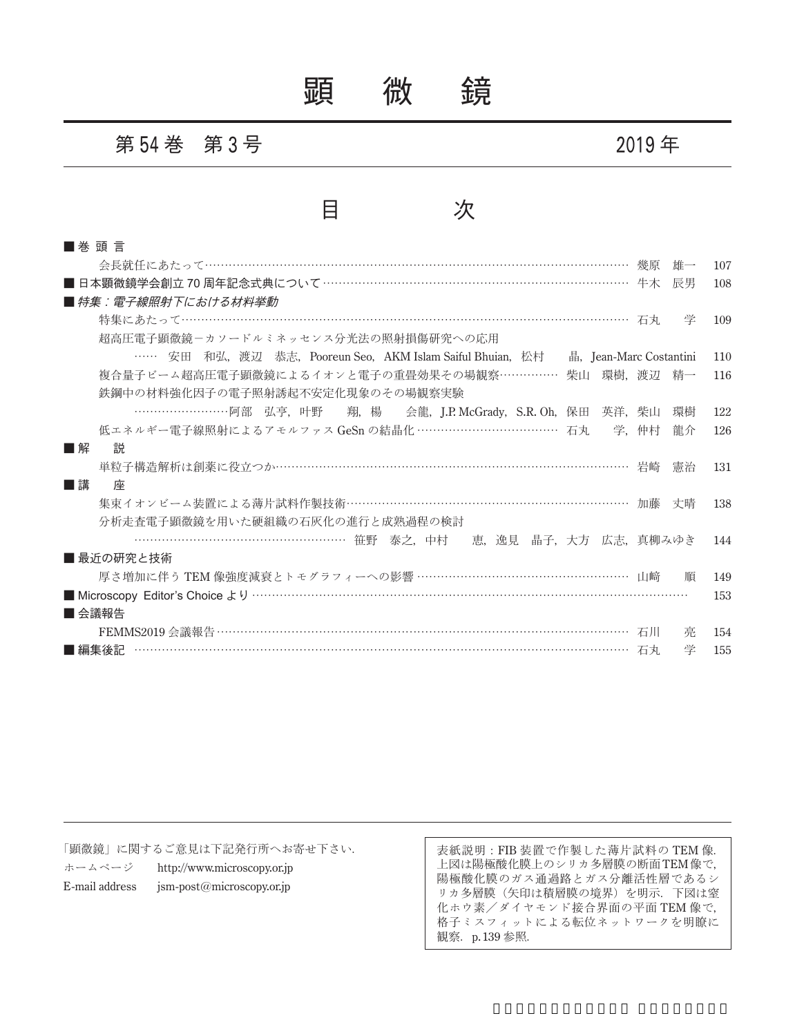## 顕 微 鏡

### 第 **54** 巻 第 **3** 号 **2019** 年

### 目 次

| ■ 巻 頭 言                                                                           |     |
|-----------------------------------------------------------------------------------|-----|
| 雄一                                                                                | 107 |
| ■ 日本顕微鏡学会創立 70 周年記念式典について …………………………………………………………………… 牛木<br>辰男                     | 108 |
| ■ 特集:雷子線照射下における材料挙動                                                               |     |
| 学                                                                                 | 109 |
| 超高圧電子顕微鏡-カソードルミネッセンス分光法の照射損傷研究への応用                                                |     |
| …… 安田 和弘, 渡辺 恭志, Pooreun Seo, AKM Islam Saiful Bhuian, 松村 晶, Jean-Marc Costantini | 110 |
| 複合量子ビーム超高圧電子顕微鏡によるイオンと電子の重畳効果その場観察…………… 柴山 環樹,渡辺 精一                               | 116 |
| 鉄鋼中の材料強化因子の電子照射誘起不安定化現象のその場観察実験                                                   |     |
| ……………………阿部 弘亨, 叶野 - 翔, 楊 - 会龍, J.P. McGrady, S.R. Oh, 保田 英洋, 柴山<br>環樹             | 122 |
| 低エネルギー電子線照射によるアモルファス GeSn の結晶化 ………………………………… 石丸 学, 仲村<br>龍介                       | 126 |
| 説<br>■解                                                                           |     |
| 単粒子構造解析は創薬に役立つか…………………………………………………………………………… 岩崎<br>憲治                             | 131 |
| ■講<br>座                                                                           |     |
| 集束イオンビーム装置による薄片試料作製技術……………………………………………………………… 加藤<br>丈晴                            | 138 |
| 分析走杳電子顕微鏡を用いた硬組織の石灰化の進行と成熟過程の検討                                                   |     |
| …………………………………………………… 笹野 泰之、中村 恵、逸見 晶子, 大方 広志, 真柳みゆき                               | 144 |
| ■ 最近の研究と技術                                                                        |     |
| 厚さ増加に伴う TEM 像強度減衰とトモグラフィーへの影響 ……………………………………………… 山﨑<br>順                          | 149 |
|                                                                                   | 153 |
| ■ 会議報告                                                                            |     |
| FEMMS2019 会議報告 ………………………………………………………………………………………… 石川<br>亮                         | 154 |
| 学                                                                                 | 155 |

「顕微鏡」に関するご意見は下記発行所へお寄せ下さい.

ホームページ http://www.microscopy.or.jp

E-mail address jsm-post@microscopy.or.jp

表紙説明:FIB 装置で作製した薄片試料の TEM 像. 上図は陽極酸化膜上のシリカ多層膜の断面TEM像で, 陽極酸化膜のガス通過路とガス分離活性層であるシ リカ多層膜(矢印は積層膜の境界)を明示.下図は窒 化ホウ素/ダイヤモンド接合界面の平面 TEM 像で, 格子ミスフィットによる転位ネットワークを明瞭に 観察. p. 139 参照.